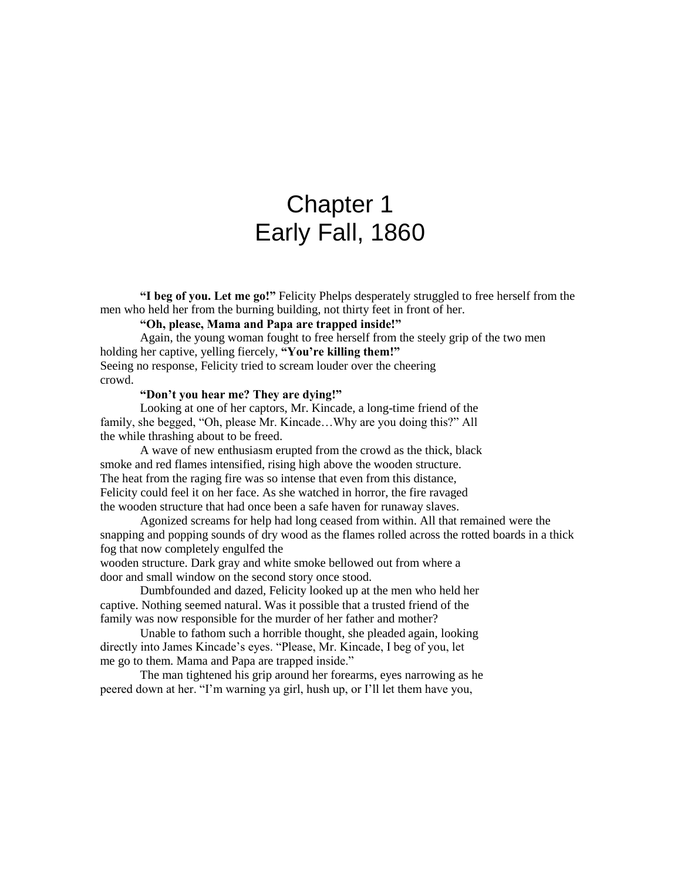# Chapter 1 Early Fall, 1860

**"I beg of you. Let me go!"** Felicity Phelps desperately struggled to free herself from the men who held her from the burning building, not thirty feet in front of her.

# **"Oh, please, Mama and Papa are trapped inside!"**

Again, the young woman fought to free herself from the steely grip of the two men holding her captive, yelling fiercely, **"You're killing them!"** Seeing no response, Felicity tried to scream louder over the cheering crowd.

#### **"Don't you hear me? They are dying!"**

Looking at one of her captors, Mr. Kincade, a long-time friend of the family, she begged, "Oh, please Mr. Kincade…Why are you doing this?" All the while thrashing about to be freed.

A wave of new enthusiasm erupted from the crowd as the thick, black smoke and red flames intensified, rising high above the wooden structure. The heat from the raging fire was so intense that even from this distance, Felicity could feel it on her face. As she watched in horror, the fire ravaged the wooden structure that had once been a safe haven for runaway slaves.

Agonized screams for help had long ceased from within. All that remained were the snapping and popping sounds of dry wood as the flames rolled across the rotted boards in a thick fog that now completely engulfed the

wooden structure. Dark gray and white smoke bellowed out from where a door and small window on the second story once stood.

Dumbfounded and dazed, Felicity looked up at the men who held her captive. Nothing seemed natural. Was it possible that a trusted friend of the family was now responsible for the murder of her father and mother?

Unable to fathom such a horrible thought, she pleaded again, looking directly into James Kincade's eyes. "Please, Mr. Kincade, I beg of you, let me go to them. Mama and Papa are trapped inside."

The man tightened his grip around her forearms, eyes narrowing as he peered down at her. "I'm warning ya girl, hush up, or I'll let them have you,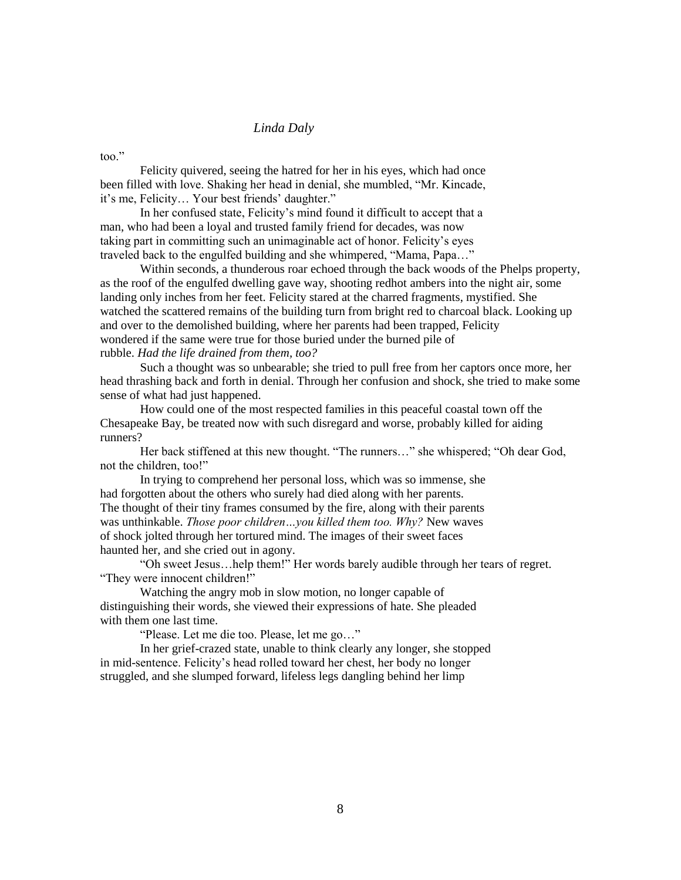# *Linda Daly*

too."

Felicity quivered, seeing the hatred for her in his eyes, which had once been filled with love. Shaking her head in denial, she mumbled, "Mr. Kincade, it's me, Felicity… Your best friends' daughter."

In her confused state, Felicity's mind found it difficult to accept that a man, who had been a loyal and trusted family friend for decades, was now taking part in committing such an unimaginable act of honor. Felicity's eyes traveled back to the engulfed building and she whimpered, "Mama, Papa…"

Within seconds, a thunderous roar echoed through the back woods of the Phelps property, as the roof of the engulfed dwelling gave way, shooting redhot ambers into the night air, some landing only inches from her feet. Felicity stared at the charred fragments, mystified. She watched the scattered remains of the building turn from bright red to charcoal black. Looking up and over to the demolished building, where her parents had been trapped, Felicity wondered if the same were true for those buried under the burned pile of rubble. *Had the life drained from them, too?*

Such a thought was so unbearable; she tried to pull free from her captors once more, her head thrashing back and forth in denial. Through her confusion and shock, she tried to make some sense of what had just happened.

How could one of the most respected families in this peaceful coastal town off the Chesapeake Bay, be treated now with such disregard and worse, probably killed for aiding runners?

Her back stiffened at this new thought. "The runners..." she whispered; "Oh dear God, not the children, too!"

In trying to comprehend her personal loss, which was so immense, she had forgotten about the others who surely had died along with her parents. The thought of their tiny frames consumed by the fire, along with their parents was unthinkable. *Those poor children…you killed them too. Why?* New waves of shock jolted through her tortured mind. The images of their sweet faces haunted her, and she cried out in agony.

"Oh sweet Jesus…help them!" Her words barely audible through her tears of regret. "They were innocent children!"

Watching the angry mob in slow motion, no longer capable of distinguishing their words, she viewed their expressions of hate. She pleaded with them one last time.

"Please. Let me die too. Please, let me go…"

In her grief-crazed state, unable to think clearly any longer, she stopped in mid-sentence. Felicity's head rolled toward her chest, her body no longer struggled, and she slumped forward, lifeless legs dangling behind her limp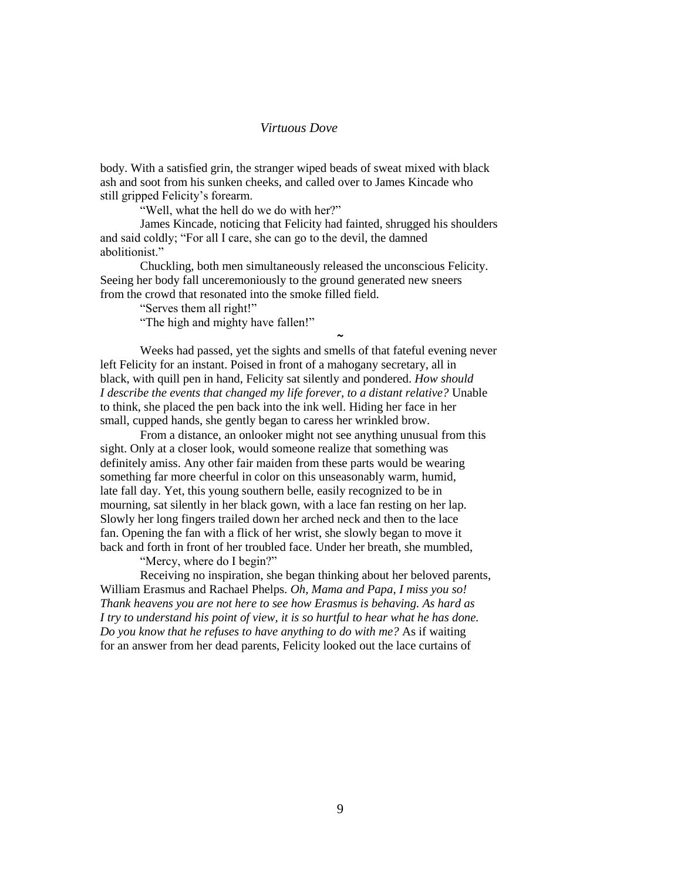## *Virtuous Dove*

body. With a satisfied grin, the stranger wiped beads of sweat mixed with black ash and soot from his sunken cheeks, and called over to James Kincade who still gripped Felicity's forearm.

"Well, what the hell do we do with her?"

James Kincade, noticing that Felicity had fainted, shrugged his shoulders and said coldly; "For all I care, she can go to the devil, the damned abolitionist."

Chuckling, both men simultaneously released the unconscious Felicity. Seeing her body fall unceremoniously to the ground generated new sneers from the crowd that resonated into the smoke filled field.

"Serves them all right!"

"The high and mighty have fallen!"

Weeks had passed, yet the sights and smells of that fateful evening never left Felicity for an instant. Poised in front of a mahogany secretary, all in black, with quill pen in hand, Felicity sat silently and pondered. *How should I describe the events that changed my life forever, to a distant relative?* Unable to think, she placed the pen back into the ink well. Hiding her face in her small, cupped hands, she gently began to caress her wrinkled brow.

**~**

From a distance, an onlooker might not see anything unusual from this sight. Only at a closer look, would someone realize that something was definitely amiss. Any other fair maiden from these parts would be wearing something far more cheerful in color on this unseasonably warm, humid, late fall day. Yet, this young southern belle, easily recognized to be in mourning, sat silently in her black gown, with a lace fan resting on her lap. Slowly her long fingers trailed down her arched neck and then to the lace fan. Opening the fan with a flick of her wrist, she slowly began to move it back and forth in front of her troubled face. Under her breath, she mumbled, "Mercy, where do I begin?"

Receiving no inspiration, she began thinking about her beloved parents, William Erasmus and Rachael Phelps. *Oh, Mama and Papa, I miss you so! Thank heavens you are not here to see how Erasmus is behaving. As hard as I try to understand his point of view, it is so hurtful to hear what he has done. Do you know that he refuses to have anything to do with me?* As if waiting for an answer from her dead parents, Felicity looked out the lace curtains of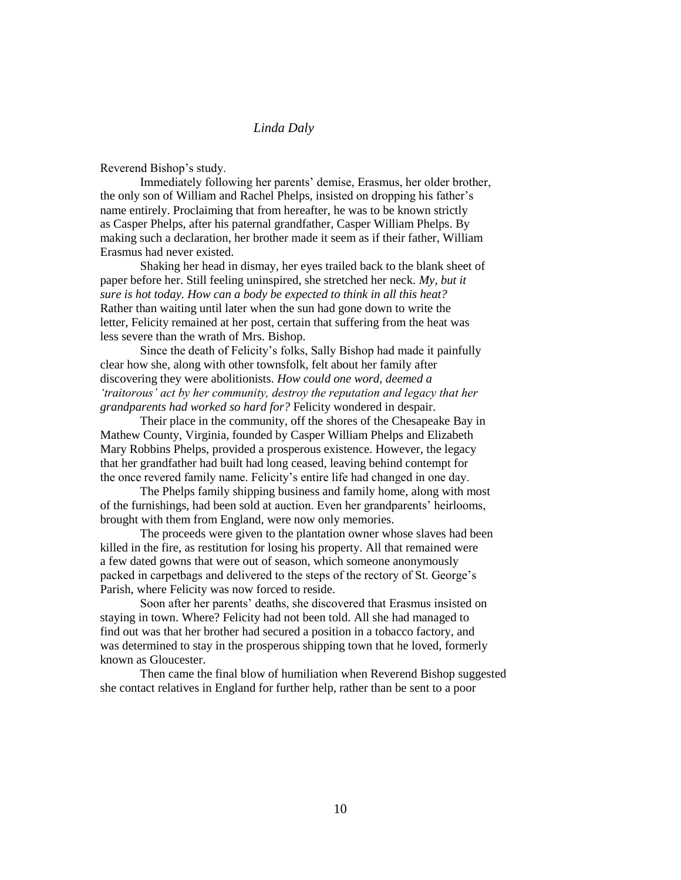# *Linda Daly*

Reverend Bishop's study.

Immediately following her parents' demise, Erasmus, her older brother, the only son of William and Rachel Phelps, insisted on dropping his father's name entirely. Proclaiming that from hereafter, he was to be known strictly as Casper Phelps, after his paternal grandfather, Casper William Phelps. By making such a declaration, her brother made it seem as if their father, William Erasmus had never existed.

Shaking her head in dismay, her eyes trailed back to the blank sheet of paper before her. Still feeling uninspired, she stretched her neck. *My, but it sure is hot today. How can a body be expected to think in all this heat?* Rather than waiting until later when the sun had gone down to write the letter, Felicity remained at her post, certain that suffering from the heat was less severe than the wrath of Mrs. Bishop.

Since the death of Felicity's folks, Sally Bishop had made it painfully clear how she, along with other townsfolk, felt about her family after discovering they were abolitionists. *How could one word, deemed a 'traitorous' act by her community, destroy the reputation and legacy that her grandparents had worked so hard for?* Felicity wondered in despair.

Their place in the community, off the shores of the Chesapeake Bay in Mathew County, Virginia, founded by Casper William Phelps and Elizabeth Mary Robbins Phelps, provided a prosperous existence. However, the legacy that her grandfather had built had long ceased, leaving behind contempt for the once revered family name. Felicity's entire life had changed in one day.

The Phelps family shipping business and family home, along with most of the furnishings, had been sold at auction. Even her grandparents' heirlooms, brought with them from England, were now only memories.

The proceeds were given to the plantation owner whose slaves had been killed in the fire, as restitution for losing his property. All that remained were a few dated gowns that were out of season, which someone anonymously packed in carpetbags and delivered to the steps of the rectory of St. George's Parish, where Felicity was now forced to reside.

Soon after her parents' deaths, she discovered that Erasmus insisted on staying in town. Where? Felicity had not been told. All she had managed to find out was that her brother had secured a position in a tobacco factory, and was determined to stay in the prosperous shipping town that he loved, formerly known as Gloucester.

Then came the final blow of humiliation when Reverend Bishop suggested she contact relatives in England for further help, rather than be sent to a poor